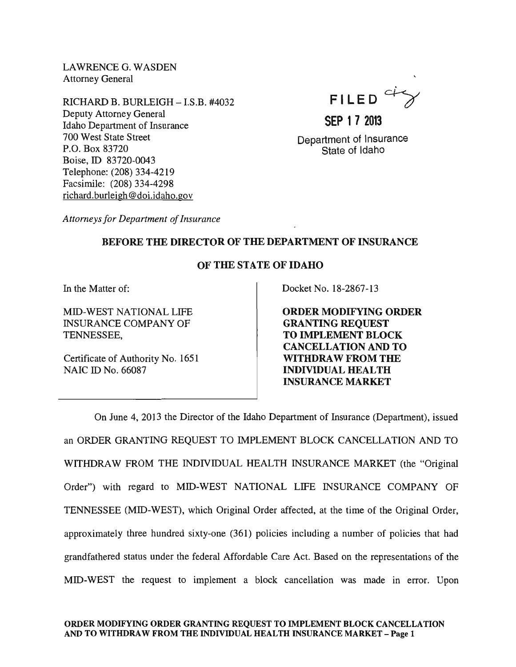LAWRENCEG. WASDEN Attorney General

RICHARD B. BURLEIGH - I.S.B. #4032 Deputy Attorney General Idaho Department of Insurance 700 West State Street P.O. Box 83720 Boise, ID 83720-0043 Telephone: (208) 334-4219 Facsimile: (208) 334-4298 richard.burleigh @doi.idaho.gov



# **SEP 1 7 2013**

Department of Insurance State of Idaho

*Attorneys for Department of Insurance* 

## BEFORE THE DIRECTOR OF THE DEPARTMENT OF INSURANCE

### OF THE STATE OF IDAHO

In the Matter of:

MID-WEST NATIONAL LIFE INSURANCE COMPANY OF TENNESSEE,

Certificate of Authority No. 1651 NAIC ID No. 66087

Docket No. 18-2867-13

ORDER MODIFYING ORDER GRANTING REQUEST TO IMPLEMENT BLOCK CANCELLATION AND TO WITHDRAW FROM THE INDIVIDUAL HEALTH INSURANCE MARKET

On June 4, 2013 the Director of the Idaho Department of Insurance (Department), issued an ORDER GRANTmG REQUEST TO IMPLEMENT BLOCK CANCELLATION AND TO WITHDRAW FROM THE mDIVIDUAL HEALTH mSURANCE MARKET (the "Original Order") with regard to MID-WEST NATIONAL LIFE mSURANCE COMPANY OF TENNESSEE (MID-WEST), which Original Order affected, at the time of the Original Order, approximately three hundred sixty-one (361) policies including a number of policies that had grandfathered status under the federal Affordable Care Act. Based on the representations of the MID-WEST the request to implement a block cancellation was made in error. Upon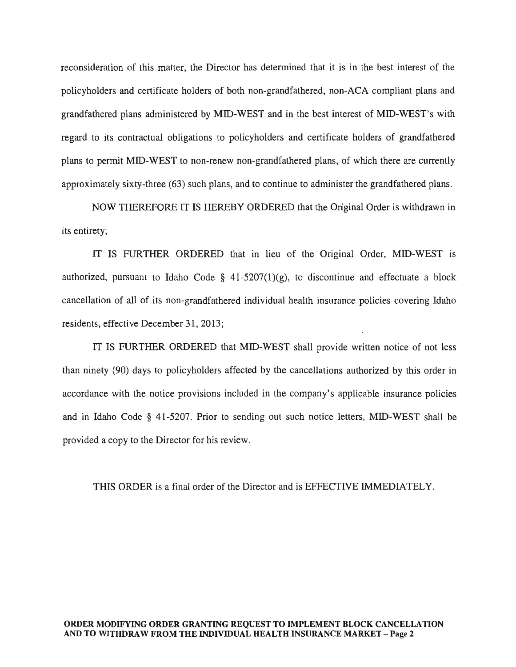reconsideration of this matter, the Director has determined that it is in the best interest of the policyholders and certificate holders of both non-grandfathered, non-ACA compliant plans and grandfathered plans administered by MID-WEST and in the best interest of MID-WEST's with regard to its contractual obligations to policyholders and certificate holders of grandfathered plans to permit MID-WEST to non-renew non-grandfathered plans, of which there are currently approximately sixty-three (63) such plans, and to continue to administer the grandfathered plans.

NOW THEREFORE IT IS HEREBY ORDERED that the Original Order is withdrawn in its entirety;

IT IS FURTHER ORDERED that in lieu of the Original Order, MID-WEST is authorized, pursuant to Idaho Code §  $41-5207(1)(g)$ , to discontinue and effectuate a block cancellation of all of its non-grandfathered individual health insurance policies covering Idaho residents, effective December 31, 2013;

IT IS FURTHER ORDERED that MID-WEST shall provide written notice of not less than ninety (90) days to policyholders affected by the cancellations authorized by this order in accordance with the notice provisions included in the company's applicable insurance policies and in Idaho Code § 41-5207. Prior to sending out such notice letters, MID-WEST shall be provided a copy to the Director for his review.

THIS ORDER is a final order of the Director and is EFFECTIVE IMMEDIATELY.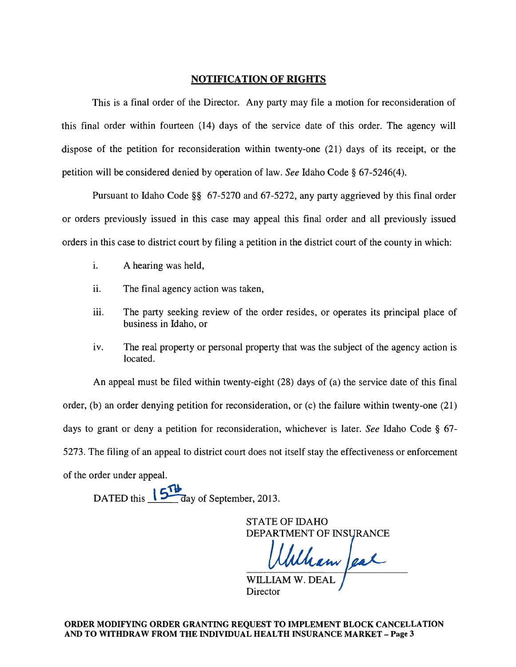#### NOTIFICATION OF RIGHTS

This is a final order of the Director. Any party may file a motion for reconsideration of this final order within fourteen (14) days of the service date of this order. The agency will dispose of the petition for reconsideration within twenty-one (21) days of its receipt, or the petition will be considered denied by operation of law. *See* Idaho Code § 67-5246(4).

Pursuant to Idaho Code §§ 67-5270 and 67-5272, any party aggrieved by this final order or orders previously issued in this case may appeal this final order and all previously issued orders in this case to district court by filing a petition in the district court of the county in which:

- i. A hearing was held,
- ii. The final agency action was taken,
- iii. The party seeking review of the order resides, or operates its principal place of business in Idaho, or
- iv. The real property or personal property that was the subject of the agency action is located.

An appeal must be filed within twenty-eight (28) days of (a) the service date of this final order, (b) an order denying petition for reconsideration, or (c) the failure within twenty-one (21) days to grant or deny a petition for reconsideration, whichever is later. *See* Idaho Code § 67- 5273. The filing of an appeal to district court does not itself stay the effectiveness or enforcement of the order under appeal.

DATED this  $\sqrt{\frac{614}{a}}$  ay of September, 2013.

STATE OF IDAHO DEPARTMENT OF INSU

Wham are

WILLIAM W. DEAI Director